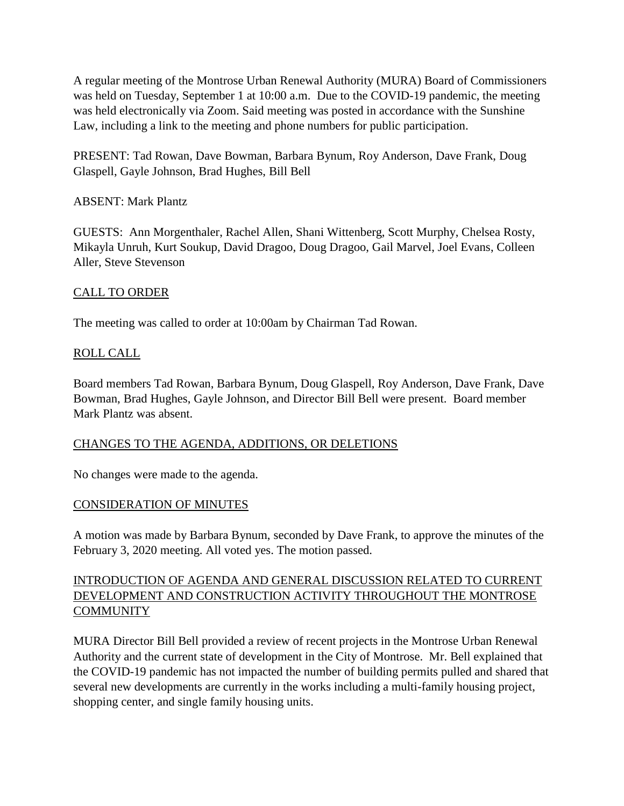A regular meeting of the Montrose Urban Renewal Authority (MURA) Board of Commissioners was held on Tuesday, September 1 at 10:00 a.m. Due to the COVID-19 pandemic, the meeting was held electronically via Zoom. Said meeting was posted in accordance with the Sunshine Law, including a link to the meeting and phone numbers for public participation.

PRESENT: Tad Rowan, Dave Bowman, Barbara Bynum, Roy Anderson, Dave Frank, Doug Glaspell, Gayle Johnson, Brad Hughes, Bill Bell

ABSENT: Mark Plantz

GUESTS: Ann Morgenthaler, Rachel Allen, Shani Wittenberg, Scott Murphy, Chelsea Rosty, Mikayla Unruh, Kurt Soukup, David Dragoo, Doug Dragoo, Gail Marvel, Joel Evans, Colleen Aller, Steve Stevenson

## CALL TO ORDER

The meeting was called to order at 10:00am by Chairman Tad Rowan.

## ROLL CALL

Board members Tad Rowan, Barbara Bynum, Doug Glaspell, Roy Anderson, Dave Frank, Dave Bowman, Brad Hughes, Gayle Johnson, and Director Bill Bell were present. Board member Mark Plantz was absent.

### CHANGES TO THE AGENDA, ADDITIONS, OR DELETIONS

No changes were made to the agenda.

### CONSIDERATION OF MINUTES

A motion was made by Barbara Bynum, seconded by Dave Frank, to approve the minutes of the February 3, 2020 meeting. All voted yes. The motion passed.

# INTRODUCTION OF AGENDA AND GENERAL DISCUSSION RELATED TO CURRENT DEVELOPMENT AND CONSTRUCTION ACTIVITY THROUGHOUT THE MONTROSE **COMMUNITY**

MURA Director Bill Bell provided a review of recent projects in the Montrose Urban Renewal Authority and the current state of development in the City of Montrose. Mr. Bell explained that the COVID-19 pandemic has not impacted the number of building permits pulled and shared that several new developments are currently in the works including a multi-family housing project, shopping center, and single family housing units.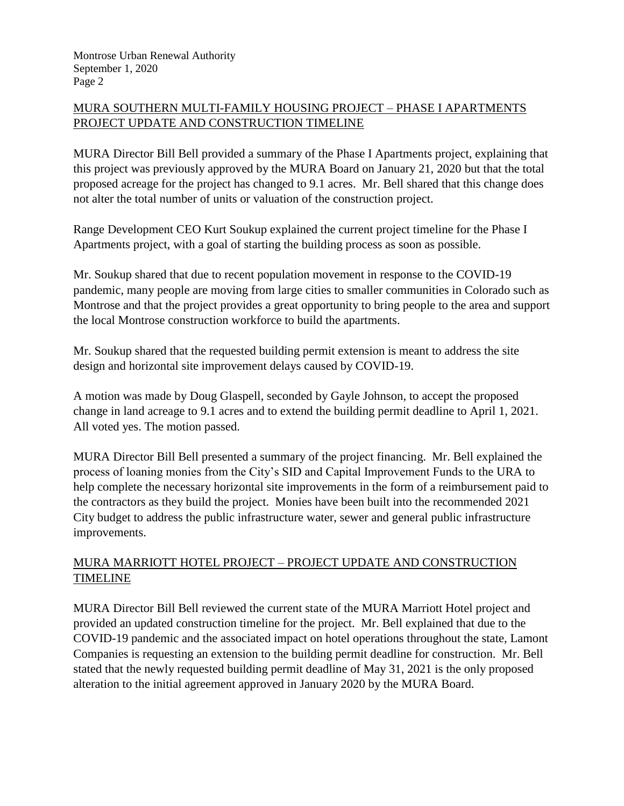# MURA SOUTHERN MULTI-FAMILY HOUSING PROJECT – PHASE I APARTMENTS PROJECT UPDATE AND CONSTRUCTION TIMELINE

MURA Director Bill Bell provided a summary of the Phase I Apartments project, explaining that this project was previously approved by the MURA Board on January 21, 2020 but that the total proposed acreage for the project has changed to 9.1 acres. Mr. Bell shared that this change does not alter the total number of units or valuation of the construction project.

Range Development CEO Kurt Soukup explained the current project timeline for the Phase I Apartments project, with a goal of starting the building process as soon as possible.

Mr. Soukup shared that due to recent population movement in response to the COVID-19 pandemic, many people are moving from large cities to smaller communities in Colorado such as Montrose and that the project provides a great opportunity to bring people to the area and support the local Montrose construction workforce to build the apartments.

Mr. Soukup shared that the requested building permit extension is meant to address the site design and horizontal site improvement delays caused by COVID-19.

A motion was made by Doug Glaspell, seconded by Gayle Johnson, to accept the proposed change in land acreage to 9.1 acres and to extend the building permit deadline to April 1, 2021. All voted yes. The motion passed.

MURA Director Bill Bell presented a summary of the project financing. Mr. Bell explained the process of loaning monies from the City's SID and Capital Improvement Funds to the URA to help complete the necessary horizontal site improvements in the form of a reimbursement paid to the contractors as they build the project. Monies have been built into the recommended 2021 City budget to address the public infrastructure water, sewer and general public infrastructure improvements.

# MURA MARRIOTT HOTEL PROJECT – PROJECT UPDATE AND CONSTRUCTION TIMELINE

MURA Director Bill Bell reviewed the current state of the MURA Marriott Hotel project and provided an updated construction timeline for the project. Mr. Bell explained that due to the COVID-19 pandemic and the associated impact on hotel operations throughout the state, Lamont Companies is requesting an extension to the building permit deadline for construction. Mr. Bell stated that the newly requested building permit deadline of May 31, 2021 is the only proposed alteration to the initial agreement approved in January 2020 by the MURA Board.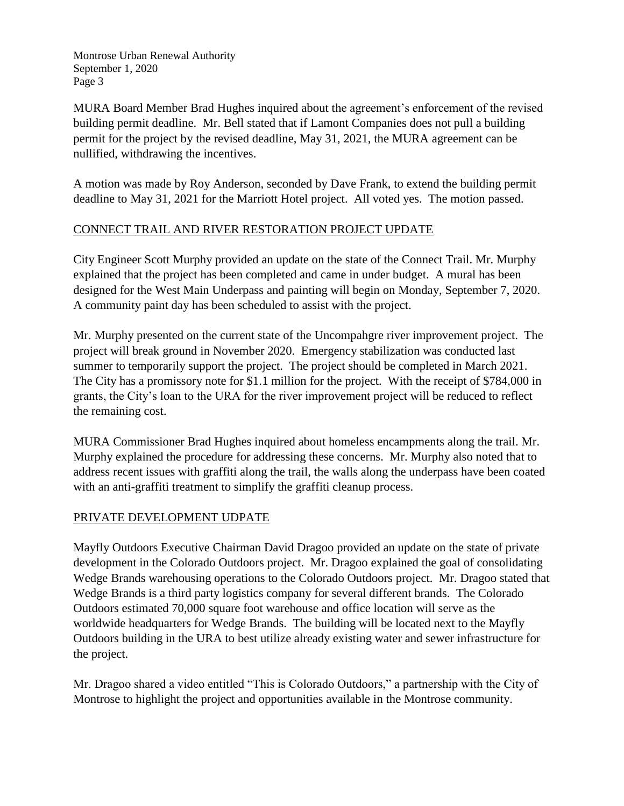Montrose Urban Renewal Authority September 1, 2020 Page 3

MURA Board Member Brad Hughes inquired about the agreement's enforcement of the revised building permit deadline. Mr. Bell stated that if Lamont Companies does not pull a building permit for the project by the revised deadline, May 31, 2021, the MURA agreement can be nullified, withdrawing the incentives.

A motion was made by Roy Anderson, seconded by Dave Frank, to extend the building permit deadline to May 31, 2021 for the Marriott Hotel project. All voted yes. The motion passed.

## CONNECT TRAIL AND RIVER RESTORATION PROJECT UPDATE

City Engineer Scott Murphy provided an update on the state of the Connect Trail. Mr. Murphy explained that the project has been completed and came in under budget. A mural has been designed for the West Main Underpass and painting will begin on Monday, September 7, 2020. A community paint day has been scheduled to assist with the project.

Mr. Murphy presented on the current state of the Uncompahgre river improvement project. The project will break ground in November 2020. Emergency stabilization was conducted last summer to temporarily support the project. The project should be completed in March 2021. The City has a promissory note for \$1.1 million for the project. With the receipt of \$784,000 in grants, the City's loan to the URA for the river improvement project will be reduced to reflect the remaining cost.

MURA Commissioner Brad Hughes inquired about homeless encampments along the trail. Mr. Murphy explained the procedure for addressing these concerns. Mr. Murphy also noted that to address recent issues with graffiti along the trail, the walls along the underpass have been coated with an anti-graffiti treatment to simplify the graffiti cleanup process.

### PRIVATE DEVELOPMENT UDPATE

Mayfly Outdoors Executive Chairman David Dragoo provided an update on the state of private development in the Colorado Outdoors project. Mr. Dragoo explained the goal of consolidating Wedge Brands warehousing operations to the Colorado Outdoors project. Mr. Dragoo stated that Wedge Brands is a third party logistics company for several different brands. The Colorado Outdoors estimated 70,000 square foot warehouse and office location will serve as the worldwide headquarters for Wedge Brands. The building will be located next to the Mayfly Outdoors building in the URA to best utilize already existing water and sewer infrastructure for the project.

Mr. Dragoo shared a video entitled "This is Colorado Outdoors," a partnership with the City of Montrose to highlight the project and opportunities available in the Montrose community.